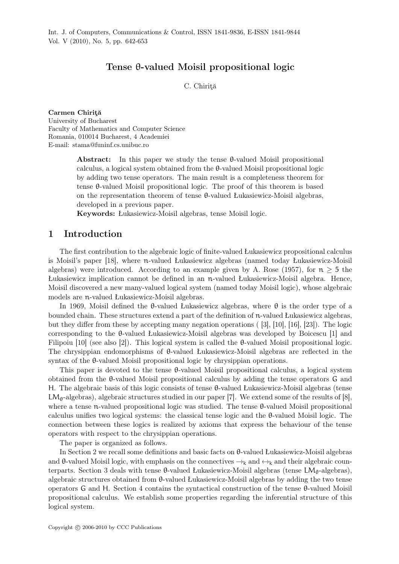## Tense θ-valued Moisil propositional logic

C. Chiriţă

Carmen Chiriţă University of Bucharest Faculty of Mathematics and Computer Science Romania, 010014 Bucharest, 4 Academiei E-mail: stama@funinf.cs.unibuc.ro

> Abstract: In this paper we study the tense θ-valued Moisil propositional calculus, a logical system obtained from the θ-valued Moisil propositional logic by adding two tense operators. The main result is a completeness theorem for tense θ-valued Moisil propositional logic. The proof of this theorem is based on the representation theorem of tense θ-valued Łukasiewicz-Moisil algebras, developed in a previous paper.

Keywords: Łukasiewicz-Moisil algebras, tense Moisil logic.

### 1 Introduction

The first contribution to the algebraic logic of finite-valued Łukasiewicz propositional calculus is Moisil's paper [18], where n-valued Łukasiewicz algebras (named today Łukasiewicz-Moisil algebras) were introduced. According to an example given by A. Rose (1957), for  $n \geq 5$  the Łukasiewicz implication cannot be defined in an n-valued Łukasiewicz-Moisil algebra. Hence, Moisil discovered a new many-valued logical system (named today Moisil logic), whose algebraic models are n-valued Łukasiewicz-Moisil algebras.

In 1969, Moisil defined the θ-valued Łukasiewicz algebras, where θ is the order type of a bounded chain. These structures extend a part of the definition of n-valued Łukasiewicz algebras, but they differ from these by accepting many negation operations ( [3], [10], [16], [23]). The logic corresponding to the θ-valued Łukasiewicz-Moisil algebras was developed by Boicescu [1] and Filipoiu [10] (see also [2]). This logical system is called the θ-valued Moisil propositional logic. The chrysippian endomorphisms of θ-valued Łukasiewicz-Moisil algebras are reflected in the syntax of the θ-valued Moisil propositional logic by chrysippian operations.

This paper is devoted to the tense θ-valued Moisil propositional calculus, a logical system obtained from the θ-valued Moisil propositional calculus by adding the tense operators G and H. The algebraic basis of this logic consists of tense θ-valued Łukasiewicz-Moisil algebras (tense  $LM_{\theta}$ -algebras), algebraic structures studied in our paper [7]. We extend some of the results of [8], where a tense n-valued propositional logic was studied. The tense θ-valued Moisil propositional calculus unifies two logical systems: the classical tense logic and the θ-valued Moisil logic. The connection between these logics is realized by axioms that express the behaviour of the tense operators with respect to the chrysippian operations.

The paper is organized as follows.

In Section 2 we recall some definitions and basic facts on θ-valued Łukasiewicz-Moisil algebras and  $\theta$ -valued Moisil logic, with emphasis on the connectives  $\rightarrow_k$  and  $\leftrightarrow_k$  and their algebraic counterparts. Section 3 deals with tense  $\theta$ -valued Łukasiewicz-Moisil algebras (tense  $LM_{\theta}$ -algebras), algebraic structures obtained from θ-valued Łukasiewicz-Moisil algebras by adding the two tense operators G and H. Section 4 contains the syntactical construction of the tense θ-valued Moisil propositional calculus. We establish some properties regarding the inferential structure of this logical system.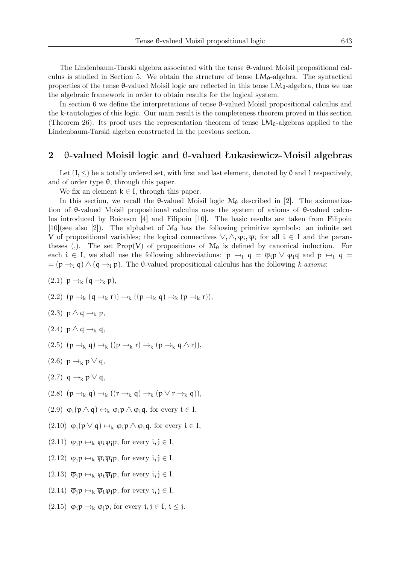The Lindenbaum-Tarski algebra associated with the tense θ-valued Moisil propositional calculus is studied in Section 5. We obtain the structure of tense  $LM_{\theta}$ -algebra. The syntactical properties of the tense  $\theta$ -valued Moisil logic are reflected in this tense  $LM_{\theta}$ -algebra, thus we use the algebraic framework in order to obtain results for the logical system.

In section 6 we define the interpretations of tense θ-valued Moisil propositional calculus and the k-tautologies of this logic. Our main result is the completeness theorem proved in this section (Theorem 26). Its proof uses the representation theorem of tense  $LM_{\theta}$ -algebras applied to the Lindenbaum-Tarski algebra constructed in the previous section.

#### 2 θ-valued Moisil logic and θ-valued Łukasiewicz-Moisil algebras

Let  $(I, \leq)$  be a totally ordered set, with first and last element, denoted by 0 and 1 respectively, and of order type  $\theta$ , through this paper.

We fix an element  $k \in I$ , through this paper.

In this section, we recall the  $\theta$ -valued Moisil logic  $\mathcal{M}_{\theta}$  described in [2]. The axiomatization of θ-valued Moisil propositional calculus uses the system of axioms of θ-valued calculus introduced by Boicescu [4] and Filipoiu [10]. The basic results are taken from Filipoiu [10](see also [2]). The alphabet of  $\mathcal{M}_{\theta}$  has the following primitive symbols: an infinite set V of propositional variables; the logical connectives  $\vee, \wedge, \varphi_i, \overline{\varphi}_i$  for all  $i \in I$  and the parantheses (,). The set Prop(V) of propositions of  $\mathcal{M}_{\theta}$  is defined by canonical induction. For each  $i \in I$ , we shall use the following abbreviations:  $p \rightarrow_i q = \overline{\varphi}_i p \vee \varphi_i q$  and  $p \leftrightarrow_i q =$  $= (\mathfrak{p} \rightarrow_i \mathfrak{q}) \wedge (\mathfrak{q} \rightarrow_i \mathfrak{p})$ . The  $\theta$ -valued propositional calculus has the following *k-axioms*:

- $(2.1)$   $p \rightarrow_k (q \rightarrow_k p),$
- (2.2)  $(p \rightarrow_k (q \rightarrow_k r)) \rightarrow_k (p \rightarrow_k q) \rightarrow_k (p \rightarrow_k r)),$
- (2.3)  $p \wedge q \rightarrow_k p$ ,
- $(2.4)$  p  $\wedge$  q  $\rightarrow$ <sub>k</sub> q,
- (2.5)  $(p \rightarrow_k q) \rightarrow_k (p \rightarrow_k r) \rightarrow_k (p \rightarrow_k q \land r)$ ,
- (2.6)  $p \rightarrow_k p \vee q$ ,
- $(2.7)$  q  $\rightarrow_k p \vee q$ ,
- (2.8)  $(p \rightarrow_k q) \rightarrow_k (r \rightarrow_k q) \rightarrow_k (p \vee r \rightarrow_k q)$ ,
- (2.9)  $\varphi_i(p \wedge q) \leftrightarrow_k \varphi_i(p \wedge \varphi_i q)$ , for every  $i \in I$ ,
- $(2.10)$   $\overline{\varphi}_i(p \vee q) \leftrightarrow_k \overline{\varphi}_i p \wedge \overline{\varphi}_i q$ , for every  $i \in I$ ,
- $(2.11)$   $\varphi_i \mathbf{p} \leftrightarrow_k \varphi_i \varphi_i \mathbf{p}$ , for every  $i, j \in I$ ,
- $(2.12)$   $\varphi_i \mathfrak{p} \leftrightarrow_k \overline{\varphi}_i \overline{\varphi}_i \mathfrak{p}$ , for every  $i, j \in I$ ,
- $(2.13)$   $\overline{\varphi}_i p \leftrightarrow_k \varphi_i \overline{\varphi}_i p$ , for every  $i, j \in I$ ,
- $(2.14)$   $\overline{\varphi}_i p \leftrightarrow_k \overline{\varphi}_i \varphi_i p$ , for every  $i, j \in I$ ,
- (2.15)  $\varphi_i p \rightarrow_k \varphi_j p$ , for every  $i, j \in I$ ,  $i \leq j$ .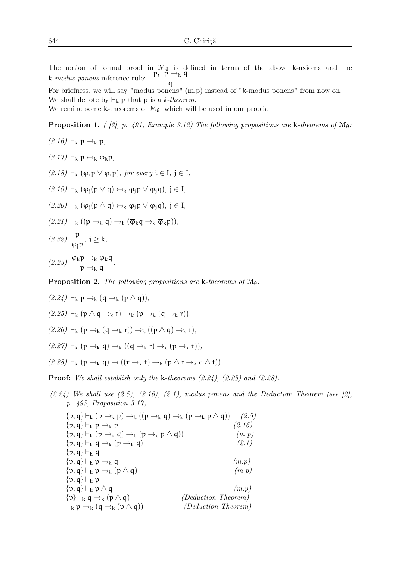The notion of formal proof in  $\mathcal{M}_{\theta}$  is defined in terms of the above k-axioms and the k-modus ponens inference rule:  $\frac{p, p \rightarrow_k q}{q}$ .

For briefness, we will say "modus ponens" (m.p) instead of "k-modus ponens" from now on. We shall denote by  $\vdash_k p$  that p is a *k-theorem*.

We remind some k-theorems of  $\mathcal{M}_\theta,$  which will be used in our proofs.

**Proposition 1.** *(* $\lbrack 2\rbrack$ *, p. 491, Example 3.12) The following propositions are* k-theorems of  $\mathcal{M}_{\theta}$ :

(2.16) 
$$
\vdash_k p \rightarrow_k p
$$
,  
\n(2.17)  $\vdash_k p \leftrightarrow_k \varphi_k p$ ,  
\n(2.18)  $\vdash_k (\varphi_i p \lor \overline{\varphi}_i p)$ , for every  $i \in I, j \in I$ ,  
\n(2.19)  $\vdash_k (\varphi_i (p \lor q) \leftrightarrow_k \varphi_i p \lor \varphi_i q)$ ,  $j \in I$ ,  
\n(2.20)  $\vdash_k (\overline{\varphi}_i (p \land q) \leftrightarrow_k \overline{\varphi}_i p \lor \overline{\varphi}_i q)$ ,  $j \in I$ ,  
\n(2.21)  $\vdash_k ((p \rightarrow_k q) \rightarrow_k (\overline{\varphi}_k q \rightarrow_k \overline{\varphi}_k p))$ ,  
\n(2.22)  $\frac{p}{\varphi_j p}$ ,  $j \ge k$ ,  
\n(2.23)  $\frac{\varphi_k p \rightarrow_k \varphi_k q}{p \rightarrow_k q}$ .

Proposition 2. *The following propositions are* k-theorems of  $M_{\theta}$ :

$$
(2.24) \vdash_{k} p \rightarrow_{k} (q \rightarrow_{k} (p \land q)),
$$
  
\n
$$
(2.25) \vdash_{k} (p \land q \rightarrow_{k} r) \rightarrow_{k} (p \rightarrow_{k} (q \rightarrow_{k} r)),
$$
  
\n
$$
(2.26) \vdash_{k} (p \rightarrow_{k} (q \rightarrow_{k} r)) \rightarrow_{k} ((p \land q) \rightarrow_{k} r),
$$
  
\n
$$
(2.27) \vdash_{k} (p \rightarrow_{k} q) \rightarrow_{k} ((q \rightarrow_{k} r) \rightarrow_{k} (p \rightarrow_{k} r)),
$$
  
\n
$$
(2.28) \vdash_{k} (p \rightarrow_{k} q) \rightarrow ((r \rightarrow_{k} t) \rightarrow_{k} (p \land r \rightarrow_{k} q \land t)).
$$

Proof: *We shall establish only the* k*-theorems (2.24), (2.25) and (2.28).*

*(2.24) We shall use (2.5), (2.16), (2.1), modus ponens and the Deduction Theorem (see [2], p. 495, Proposition 3.17).*

| $\{p,q\} \vdash_k (p \rightarrow_k p) \rightarrow_k ((p \rightarrow_k q) \rightarrow_k (p \rightarrow_k p \land q))$ | (2.5)  |
|----------------------------------------------------------------------------------------------------------------------|--------|
| $\{p,q\} \vdash_k p \rightarrow_k p$                                                                                 | (2.16) |
| $\{p,q\} \vdash_k (p \rightarrow_k q) \rightarrow_k (p \rightarrow_k p \land q)$                                     | (m.p)  |
| $\{p,q\} \vdash_k q \rightarrow_k (p \rightarrow_k q)$                                                               | (2.1)  |
| $\{p,q\} \vdash_k q$                                                                                                 |        |
| $\{p,q\} \vdash_k p \rightarrow_k q$                                                                                 | (m.p)  |
| $\{p,q\} \vdash_k p \rightarrow_k (p \wedge q)$                                                                      | (m.p)  |
| $\{p,q\} \vdash_k p$                                                                                                 |        |
| $\{p,q\} \vdash_k p \wedge q$                                                                                        | (m.p)  |
| (Deduction Theorem)<br>$\{p\} \vdash_k q \rightarrow_k (p \wedge q)$                                                 |        |
| $\vdash_k p \rightarrow_k (q \rightarrow_k (p \wedge q))$<br>(Deduction Theorem)                                     |        |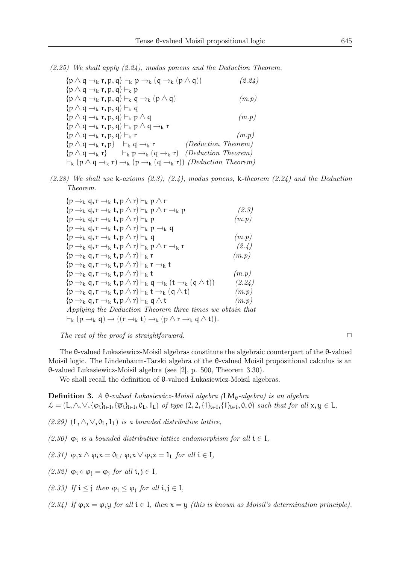*(2.25) We shall apply (2.24), modus ponens and the Deduction Theorem.*

| $\{p \wedge q \rightarrow_k r, p, q\} \vdash_k p$<br>$\{p \wedge q \rightarrow_k r, p, q\} \vdash_k q \rightarrow_k (p \wedge q)$<br>(m.p)<br>$\{p \wedge q \rightarrow_k r, p, q\} \vdash_k q$<br>$\{p \wedge q \rightarrow_k r, p, q\} \vdash_k p \wedge q$<br>(m.p)<br>$\{p \wedge q \rightarrow_k r, p, q\} \vdash_k p \wedge q \rightarrow_k r$<br>$\{p \wedge q \rightarrow_k r, p, q\} \vdash_k r$<br>(m.p) |
|--------------------------------------------------------------------------------------------------------------------------------------------------------------------------------------------------------------------------------------------------------------------------------------------------------------------------------------------------------------------------------------------------------------------|
|                                                                                                                                                                                                                                                                                                                                                                                                                    |
|                                                                                                                                                                                                                                                                                                                                                                                                                    |
|                                                                                                                                                                                                                                                                                                                                                                                                                    |
|                                                                                                                                                                                                                                                                                                                                                                                                                    |
|                                                                                                                                                                                                                                                                                                                                                                                                                    |
|                                                                                                                                                                                                                                                                                                                                                                                                                    |
| (Deduction Theorem)<br>$\{p \wedge q \rightarrow_k r, p\}$ $\vdash_k q \rightarrow_k r$                                                                                                                                                                                                                                                                                                                            |
| $\{p \wedge q \rightarrow_k r\}$ $\vdash_k p \rightarrow_k (q \rightarrow_k r)$ (Deduction Theorem)                                                                                                                                                                                                                                                                                                                |
| $\vdash_{k} (p \land q \rightarrow_{k} r) \rightarrow_{k} (p \rightarrow_{k} (q \rightarrow_{k} r))$ (Deduction Theorem)                                                                                                                                                                                                                                                                                           |

*(2.28) We shall use* k*-axioms (2.3), (2.4), modus ponens,* k*-theorem (2.24) and the Deduction Theorem.*

| $\{p \rightarrow_k q, r \rightarrow_k t, p \wedge r\} \vdash_k p \wedge r$                                          |        |
|---------------------------------------------------------------------------------------------------------------------|--------|
| $\{p \rightarrow_k q, r \rightarrow_k t, p \wedge r\} \vdash_k p \wedge r \rightarrow_k p$                          | (2.3)  |
| $\{p \rightarrow_k q, r \rightarrow_k t, p \wedge r\} \vdash_k p$                                                   | (m.p)  |
| $\{p \rightarrow_k q, r \rightarrow_k t, p \wedge r\} \vdash_k p \rightarrow_k q$                                   |        |
| $\{p \rightarrow_k q, r \rightarrow_k t, p \wedge r\} \vdash_k q$                                                   | (m.p)  |
| $\{p \rightarrow_k q, r \rightarrow_k t, p \wedge r\} \vdash_k p \wedge r \rightarrow_k r$                          | (2.4)  |
| $\{p \rightarrow_k q, r \rightarrow_k t, p \wedge r\} \vdash_k r$                                                   | (m.p)  |
| $\{p \rightarrow_k q, r \rightarrow_k t, p \wedge r\} \vdash_k r \rightarrow_k t$                                   |        |
| $\{p \rightarrow_k q, r \rightarrow_k t, p \wedge r\} \vdash_k t$                                                   | (m.p)  |
| $\{p \rightarrow_k q, r \rightarrow_k t, p \wedge r\} \vdash_k q \rightarrow_k (t \rightarrow_k (q \wedge t))$      | (2.24) |
| $\{p \rightarrow_k q, r \rightarrow_k t, p \wedge r\} \vdash_k t \rightarrow_k (q \wedge t)$                        | (m.p)  |
| $\{p \rightarrow_k q, r \rightarrow_k t, p \wedge r\} \vdash_k q \wedge t$                                          | (m.p)  |
| Applying the Deduction Theorem three times we obtain that                                                           |        |
| $\vdash_k (p \rightarrow_k q) \rightarrow ((r \rightarrow_k t) \rightarrow_k (p \land r \rightarrow_k q \land t)).$ |        |
|                                                                                                                     |        |

*The rest of the proof is straightforward.*  $\Box$ 

The θ-valued Łukasiewicz-Moisil algebras constitute the algebraic counterpart of the θ-valued Moisil logic. The Lindenbaum-Tarski algebra of the θ-valued Moisil propositional calculus is an θ-valued Łukasiewicz-Moisil algebra (see [2], p. 500, Theorem 3.30).

We shall recall the definition of θ-valued Łukasiewicz-Moisil algebras.

Definition 3. *A* θ*-valued Łukasiewicz-Moisil algebra (*LMθ*-algebra) is an algebra*  $\mathcal{L} = (L, \wedge, \vee, \{\varphi_i\}_{i \in I}, \{\overline{\varphi}_i\}_{i \in I}, 0_L, 1_L)$  *of type*  $(2, 2, \{1\}_{i \in I}, \{1\}_{i \in I}, 0, 0)$  *such that for all*  $x, y \in L$ ,

*(2.29)* (**L**,  $\land$ ,  $\lor$ ,  $0_L$ ,  $1_L$ ) *is a bounded distributive lattice,* 

*(2.30)*  $\varphi$ *<sub><i>i*</sub> *is a bounded distributive lattice endomorphism for all i* ∈ I*,* 

$$
(2.31) \ \varphi_i x \wedge \overline{\varphi}_i x = 0_L; \ \varphi_i x \vee \overline{\varphi}_i x = 1_L \ \text{for all } i \in I,
$$

$$
(2.32) \varphi_i \circ \varphi_j = \varphi_j \text{ for all } i, j \in I,
$$

*(2.33) If*  $i \leq j$  *then*  $\varphi_i \leq \varphi_j$  *for all*  $i, j \in I$ *,* 

*(2.34) If*  $φ_i x = φ_i y$  *for all*  $i ∈ I$ *, then*  $x = y$  *(this is known as Moisil's determination principle).*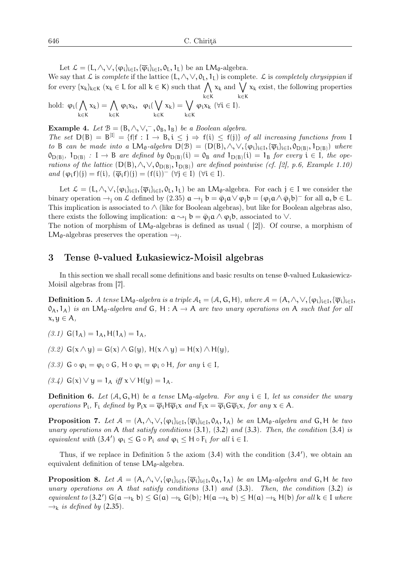Let  $\mathcal{L} = (L, \wedge, \vee, {\varphi_i}_{i \in I}, {\overline{\varphi_i}}_{i \in I}, \mathfrak{o}_L, \mathfrak{l}_L)$  be an  $LM_{\theta}$ -algebra.

We say that L is *complete* if the lattice  $(L, \wedge, \vee, 0_L, 1_L)$  is complete. L is *completely chrysippian* if for every  $\{x_k\}_{k\in K}$  ( $x_k \in L$  for all  $k \in K$ ) such that  $\bigwedge$ k*∈*K  $x_k$  and  $\bigvee$ k*∈*K  $x_k$  exist, the following properties hold:  $\varphi_i(\bigwedge$  $\mathbf{x_k}) = \bigwedge$  $\varphi_i x_k, \varphi_i(\bigvee$  $\mathsf{x_k}) = \bigvee$  $\varphi_i x_k \; (\forall i \in I).$ 

k*∈*K k*∈*K k*∈*K k*∈*K

**Example 4.** Let  $\mathcal{B} = (B, \wedge, \vee, \neg, 0_B, 1_B)$  *be a Boolean algebra.* 

*The set*  $D(B) = B^{[1]} = \{f | f : I \to B, i \leq j \Rightarrow f(i) \leq f(j)\}$  *of all increasing functions from* I *to* B *can be made into a*  $LM_{\theta}$ -*algebra*  $D(B) = (D(B), \wedge, \vee, {\varphi_i}_{i \in I}, {\overline{\varphi_i}}_{i \in I}, \varphi_{D(B)}, \mathbf{1}_{D(B)})$  *where*  $\mathcal{O}_{D(B)}$ ,  $\mathcal{O}_{D(B)}$  : I  $\rightarrow$  B are defined by  $\mathcal{O}_{D(B)}(i) = \mathcal{O}_B$  and  $\mathcal{O}_{D(B)}(i) = \mathcal{O}_B$  for every  $i \in I$ , the ope*rations of the lattice*  $(D(B), \wedge, \vee, O_{D(B)}, 1_{D(B)})$  *are defined pointwise (cf. [2], p.6, Example 1.10)*  $and$   $(\varphi_i f)(j) = f(i),$   $(\overline{\varphi}_i f)(j) = (f(i))^-(\forall j \in I)$   $(\forall i \in I)$ *.* 

Let  $\mathcal{L} = (L, \wedge, \vee, \{\varphi_i\}_{i \in I}, \{\overline{\varphi}_i\}_{i \in I}, 0_L, 1_L)$  be an  $LM_{\theta}$ -algebra. For each  $j \in I$  we consider the binary operation  $\rightarrow$ <sub>j</sub> on L defined by (2.35)  $\mathfrak{a} \rightarrow_j \mathfrak{b} = \overline{\varphi}_j \mathfrak{a} \vee \varphi_j \mathfrak{b} = (\varphi_j \mathfrak{a} \wedge \overline{\varphi}_j \mathfrak{b})$ <sup>–</sup> for all  $\mathfrak{a}, \mathfrak{b} \in L$ . This implication is associated to  $\wedge$  (like for Boolean algebras), but like for Boolean algebras also, there exists the following implication:  $\mathfrak{a} \rightarrow_i \mathfrak{b} = \overline{\varphi}_i \mathfrak{a} \wedge \varphi_i \mathfrak{b}$ , associated to  $\vee$ .

The notion of morphism of  $LM_{\theta}$ -algebras is defined as usual ([2]). Of course, a morphism of LM<sub> $\theta$ </sub>-algebras preserves the operation  $\rightarrow_j$ .

#### 3 Tense θ-valued Łukasiewicz-Moisil algebras

In this section we shall recall some definitions and basic results on tense θ-valued Łukasiewicz-Moisil algebras from [7].

 $\bf{Definition 5.}$  *A tense*  $\bf{LM}_\theta$ -algebra is a triple  $A_t = (A, G, H)$ , where  $A = (A, \wedge, \vee, \{\varphi_i\}_{i \in I}, \{\overline{\varphi}_i\}_{i \in I}$  $(0_A, 1_A)$  *is an* LM<sub>θ</sub>-algebra and G, H : A  $\rightarrow$  A are two unary operations on A such that for all x, y *∈* A*,*

 $(3.1)$  G( $1_A$ ) =  $1_A$ , H( $1_A$ ) =  $1_A$ ,

 $(3.2)$  G(x ∧ y) = G(x) ∧ G(y), H(x ∧ y) = H(x) ∧ H(y)*,* 

- *(3.3)*  $G ∘ φ<sub>i</sub> = φ<sub>i</sub> ∘ G, H ∘ φ<sub>i</sub> = φ<sub>i</sub> ∘ H, for any  $i ∈ I$ ,$
- $(3.4)$  G(x)  $\vee$  y = 1<sub>A</sub> *iff* x  $\vee$  H(y) = 1<sub>A</sub>.

**Definition 6.** Let  $(A, G, H)$  be a tense LM<sub>θ</sub>-algebra. For any  $i \in I$ , let us consider the unary *operations*  $P_i$ ,  $F_i$  *defined by*  $P_i x = \overline{\varphi}_i H \overline{\varphi}_i x$  *and*  $F_i x = \overline{\varphi}_i G \overline{\varphi}_i x$ , *for any*  $x \in A$ *.* 

**Proposition 7.** Let  $A = (A, \wedge, \vee, \{\varphi_i\}_{i \in I}, \{\overline{\varphi}_i\}_{i \in I}, 0_A, 1_A)$  be an LM<sub>θ</sub>-algebra and G, H be two *unary operations on* A *that satisfy conditions* (3.1)*,* (3.2) *and* (3.3)*. Then, the condition* (3.4) *is equivalent with*  $(3.4') \varphi_i \leq G \circ P_i$  *and*  $\varphi_i \leq H \circ F_i$  *for all*  $i \in I$ *.* 

Thus, if we replace in Definition 5 the axiom (3.4) with the condition (3.4*′* ), we obtain an equivalent definition of tense  $LM_{\theta}$ -algebra.

**Proposition 8.** Let  $A = (A, \wedge, \vee, \{\varphi_i\}_{i \in I}, \{\overline{\varphi}_i\}_{i \in I}, 0_A, 1_A)$  be an LM<sub>θ</sub>-algebra and G, H be two *unary operations on* A *that satisfy conditions* (3.1) *and* (3.3)*. Then, the condition* (3.2) *is*  $\ell$ *equivalent to* (3.2<sup>*′*</sup>)  $G(a \rightarrow_k b) \leq G(a) \rightarrow_k G(b)$ ;  $H(a \rightarrow_k b) \leq H(a) \rightarrow_k H(b)$  *for all*  $k \in I$  *where*  $\rightarrow_k$  *is defined by* (2.35).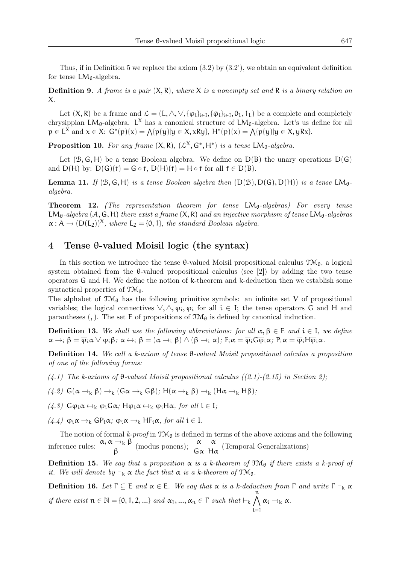Thus, if in Definition 5 we replace the axiom  $(3.2)$  by  $(3.2')$ , we obtain an equivalent definition for tense  $LM_{\theta}$ -algebra.

Definition 9. *A frame is a pair* (X, R)*, where* X *is a nonempty set and* R *is a binary relation on* X*.*

Let  $(X, R)$  be a frame and  $\mathcal{L} = (L, \wedge, \vee, {\varphi_i}_{i \in I}, {\bar{\varphi_i}}_{i \in I}, 0_L, 1_L)$  be a complete and completely chrysippian  $LM_{\theta}$ -algebra. L<sup>X</sup> has a canonical structure of  $LM_{\theta}$ -algebra. Let's us define for all p *∈* L <sup>X</sup> and <sup>x</sup> *<sup>∈</sup>* <sup>X</sup>: <sup>G</sup>*<sup>∗</sup>* (p)(x) = ∧ {p(y)|y *∈* X, xRy}, H*<sup>∗</sup>* (p)(x) = ∧ {p(y)|y *∈* X, yRx}.

**Proposition 10.** For any frame  $(X, R)$ ,  $(\mathcal{L}^X, G^*, H^*)$  is a tense  $LM_{\theta}$ -algebra.

Let  $(B, G, H)$  be a tense Boolean algebra. We define on  $D(B)$  the unary operations  $D(G)$ and  $D(H)$  by:  $D(G)(f) = G \circ f$ ,  $D(H)(f) = H \circ f$  for all  $f \in D(B)$ .

**Lemma 11.** *If* ( $B$ ,  $G$ ,  $H$ ) *is a tense Boolean algebra then* ( $D(B)$ ,  $D(G)$ ,  $D(H)$ ) *is a tense*  $LM_{\theta}$ *algebra.*

Theorem 12. *(The representation theorem for tense LM*<sub>0</sub>-algebras) For every tense  $LM_{\theta}$ -algebra (A, G, H) *there exist a frame*  $(X, R)$  *and an injective morphism of tense*  $LM_{\theta}$ -algebras  $\alpha : A \to (D(L_2))^X$ , where  $L_2 = \{0, 1\}$ , the standard Boolean algebra.

### 4 Tense θ-valued Moisil logic (the syntax)

In this section we introduce the tense  $\theta$ -valued Moisil propositional calculus  $\mathfrak{M}_{\theta}$ , a logical system obtained from the  $\theta$ -valued propositional calculus (see [2]) by adding the two tense operators G and H. We define the notion of k-theorem and k-deduction then we establish some syntactical properties of  $\mathfrak{TM}_{\theta}$ .

The alphabet of  $\mathfrak{M}_{\theta}$  has the following primitive symbols: an infinite set V of propositional variables; the logical connectives  $\vee, \wedge, \varphi_i, \overline{\varphi}_i$  for all  $i \in I$ ; the tense operators G and H and parantheses (,). The set E of propositions of  $\mathfrak{TM}_{\Theta}$  is defined by canonical induction.

**Definition 13.** We shall use the following abbreviations: for all  $\alpha, \beta \in E$  and  $i \in I$ , we define  $\alpha \rightarrow_i \beta = \overline{\varphi}_i \alpha \vee \varphi_i \beta$ ;  $\alpha \leftrightarrow_i \beta = (\alpha \rightarrow_i \beta) \wedge (\beta \rightarrow_i \alpha)$ ;  $F_i \alpha = \overline{\varphi}_i G \overline{\varphi}_i \alpha$ ;  $P_i \alpha = \overline{\varphi}_i H \overline{\varphi}_i \alpha$ .

Definition 14. *We call a k-axiom of tense* θ*-valued Moisil propositional calculus a proposition of one of the following forms:*

*(4.1) The k-axioms of* θ*-valued Moisil propositional calculus ((2.1)-(2.15) in Section 2);*

*(4.2)* <sup>G</sup>(<sup>α</sup> <sup>→</sup><sup>k</sup> <sup>β</sup>) <sup>→</sup><sup>k</sup> (Gα <sup>→</sup><sup>k</sup> Gβ)*;* <sup>H</sup>(<sup>α</sup> <sup>→</sup><sup>k</sup> <sup>β</sup>) <sup>→</sup><sup>k</sup> (Hα <sup>→</sup><sup>k</sup> Hβ)*;*

*(4.3)* Gφ<sub>i</sub> $\alpha$  ↔<sub>k</sub> φ<sub>i</sub>Gα; Hφ<sub>i</sub> $\alpha$  ↔<sub>k</sub> φ<sub>i</sub>Hα*, for all* i ∈ I*;* 

*(4.4)* <sup>φ</sup>i<sup>α</sup> <sup>→</sup><sup>k</sup> GPiα*;* <sup>φ</sup>i<sup>α</sup> <sup>→</sup><sup>k</sup> HFiα*, for all* <sup>i</sup> *<sup>∈</sup>* <sup>I</sup>*.*

The notion of formal  $k$ -proof in  $TM_{\theta}$  is defined in terms of the above axioms and the following inference rules:  $\frac{\alpha, \alpha \rightarrow_k \beta}{\beta}$  (modus ponens);  $\frac{\alpha}{G\alpha}$  $\frac{\alpha}{H\alpha}$  (Temporal Generalizations)

**Definition 15.** We say that a proposition  $\alpha$  is a k-theorem of  $\mathfrak{TM}_{\theta}$  if there exists a k-proof of *it.* We will denote by  $\vdash_k \alpha$  the fact that  $\alpha$  *is a k-theorem of*  $\mathfrak{TM}_{\theta}$ *.* 

Definition 16. *Let*  $Γ ⊆ E$  *and*  $α ∈ E$ *. We say that*  $α$  *is a k-deduction from*  $Γ$  *and write*  $Γ ⊢<sub>k</sub> α$ *if there exist*  $n \in \mathbb{N} = \{0, 1, 2, ...\}$  *and*  $\alpha_1, ..., \alpha_n \in \Gamma$  *such that*  $\vdash_k \bigwedge^n$  $\bigwedge_{i=1} \alpha_i \rightarrow_k \alpha$ .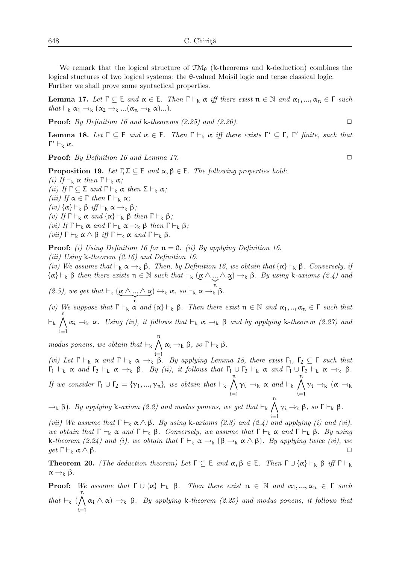We remark that the logical structure of  $\mathfrak{M}_{\theta}$  (k-theorems and k-deduction) combines the logical stuctures of two logical systems: the θ-valued Moisil logic and tense classical logic. Further we shall prove some syntactical properties.

**Lemma 17.** *Let*  $\Gamma$  ⊂ E *and*  $\alpha$  ∈ E. *Then*  $\Gamma$  *⊢*<sub>k</sub>  $\alpha$  *iff there exist*  $n$  ∈ N *and*  $\alpha$ <sub>1</sub>, ...,  $\alpha_n$  ∈  $\Gamma$  *such that*  $\vdash_k \alpha_1 \rightarrow_k (\alpha_2 \rightarrow_k \ldots (\alpha_n \rightarrow_k \alpha) \ldots).$ 

**Proof:** *By Definition 16 and* k-theorems  $(2.25)$  and  $(2.26)$ .

**Lemma 18.** Let  $\Gamma \subseteq \mathsf{E}$  and  $\alpha \in \mathsf{E}$ . Then  $\Gamma \vdash_{\mathsf{k}} \alpha$  iff there exists  $\Gamma' \subseteq \Gamma$ ,  $\Gamma'$  finite, such that Γ *′ ⊢*<sup>k</sup> α*.*

**Proof:** *By Definition 16 and Lemma 17.* △

**Proposition 19.** Let  $\Gamma, \Sigma \subseteq E$  and  $\alpha, \beta \in E$ . The following properties hold: *(i) If*  $\vdash_k \alpha$  *then* Γ  $\vdash_k \alpha$ *; (ii) If*  $\Gamma$  ⊂ Σ *and*  $\Gamma$  *⊢*<sub>k</sub> α *then* Σ *⊢*<sub>k</sub> α*; (iii) If*  $\alpha$  ∈ Γ *then* Γ  $\vdash_k \alpha$ *; (iv)* {α}  $\vdash_k \beta$  *iff*  $\vdash_k \alpha \rightarrow_k \beta$ *; (v) If*  $\Gamma$  *⊢*<sub>k</sub> α *and* {α} *⊢*<sub>k</sub> β *then*  $\Gamma$  *⊢*<sub>k</sub> β; *(vi) If*  $\Gamma$  *⊢*<sub>k</sub> α *and*  $\Gamma$  *⊢*<sub>k</sub> α →<sub>k</sub> β *then*  $\Gamma$  *⊢*<sub>k</sub> β*; (vii)* Γ *⊢*<sup>k</sup> α ∧ β *iff* Γ *⊢*<sup>k</sup> α *and* Γ *⊢*<sup>k</sup> β*.*

Proof: *(i) Using Definition 16 for* n = 0*. (ii) By applying Definition 16.*

*(iii) Using* k*-theorem (2.16) and Definition 16.*

*(iv)* We assume that  $\vdash_k \alpha \rightarrow_k \beta$ . Then, by Definition 16, we obtain that  $\{\alpha\} \vdash_k \beta$ . Conversely, if  ${\alpha} \vdash_k \beta$  then there exists  $n \in \mathbb{N}$  such that  $\vdash_k (\underbrace{\alpha \wedge ... \wedge \alpha}_{n}) \rightarrow_k \beta$ . By using k-axioms (2.4) and

*(2.5), we get that*  $\vdash_k (\underbrace{\alpha \wedge ... \wedge \alpha}_{n}) \leftrightarrow_k \alpha$ *, so*  $\vdash_k \alpha \rightarrow_k^n \beta$ *.* 

*(v)* We suppose that  $Γ ⊢_k α$  *and*  ${α}$   $⊢_k β$ . Then there exist  $n ∈ ℕ$  *and*  $α_1, …, α_n ∈ Γ$  *such that ⊢*k ∧n i=1 <sup>α</sup><sup>i</sup> <sup>→</sup><sup>k</sup> <sup>α</sup>*. Using (iv), it follows that <sup>⊢</sup>*<sup>k</sup> <sup>α</sup> <sup>→</sup><sup>k</sup> <sup>β</sup> *and by applying* <sup>k</sup>*-theorem (2.27) and*

*modus ponens, we obtain that ⊢*<sup>k</sup> ∧n  $\alpha_i \rightarrow_k \beta$ *, so*  $\Gamma \vdash_k \beta$ *.* 

*(vi)* Let Γ  $\vdash_k \alpha$  and Γ  $\vdash_k \alpha \rightarrow_k \beta$ . By applying Lemma 18, there exist Γ<sub>1</sub>, Γ<sub>2</sub>  $\subseteq$  Γ *such that*  $\Gamma_1$   $\vdash_k \alpha$  *and*  $\Gamma_2$   $\vdash_k \alpha \rightarrow_k \beta$ *. By (ii), it follows that*  $\Gamma_1 \cup \Gamma_2 \vdash_k \alpha$  *and*  $\Gamma_1 \cup \Gamma_2 \vdash_k \alpha \rightarrow_k \beta$ *. If we consider*  $\Gamma_1 \cup \Gamma_2 = \{ \gamma_1, ..., \gamma_n \}$ *, we obtain that*  $\vdash_k \bigwedge^n$  $\bigwedge_{i=1} \gamma_i \rightarrow_k \alpha$  *and*  $\vdash_k$ ∧n  $\bigwedge_{i=1} \gamma_i \rightarrow_k (\alpha \rightarrow_k$ 

<sup>→</sup><sup>k</sup> <sup>β</sup>)*. By applying* <sup>k</sup>*-axiom (2.2) and modus ponens, we get that <sup>⊢</sup>*<sup>k</sup> ∧n  $\bigwedge_{i=1}$  γ<sub>i</sub> →<sub>k</sub> β*, so* Γ *⊦*<sub>k</sub> β*.* 

*(vii)* We assume that  $\Gamma \vdash_k \alpha \land \beta$ *. By using* k-axioms (2.3) and (2.4) and applying (i) and (vi), *we obtain that*  $Γ ⊢_k α$  *and*  $Γ ⊢_k β$ *. Conversely, we assume that*  $Γ ⊢_k α$  *and*  $Γ ⊢_k β$ *. By using* k-theorem (2.24) and (i), we obtain that  $\Gamma \vdash_k \alpha \to_k (\beta \to_k \alpha \land \beta)$ *. By applying twice (vi), we get*  $\Gamma \vdash_k \alpha \land \beta$ *get* Γ  $\vdash_k \alpha \land \beta$ *.* 

**Theorem 20.** *(The deduction theorem)* Let  $\Gamma$  ⊆ E *and* α, β ∈ E. Then  $\Gamma$  ∪ {α}  $\vdash_k$  β *iff*  $\Gamma \vdash_k$  $\alpha \rightarrow_{k} \beta$ .

**Proof:** We assume that  $Γ ∪ {α}$   $⊢<sub>k</sub> β$ . Then there exist  $π ∈ ℕ$  and  $α<sub>1</sub>, ..., α<sub>n</sub> ∈ Γ$  such *that*  $\vdash_k (\bigwedge^n)$  $\bigwedge_{i=1}^n \alpha_i \wedge \alpha$   $\rightarrow_k^{\cdot} \beta$ *. By applying* k-theorem (2.25) and modus ponens, it follows that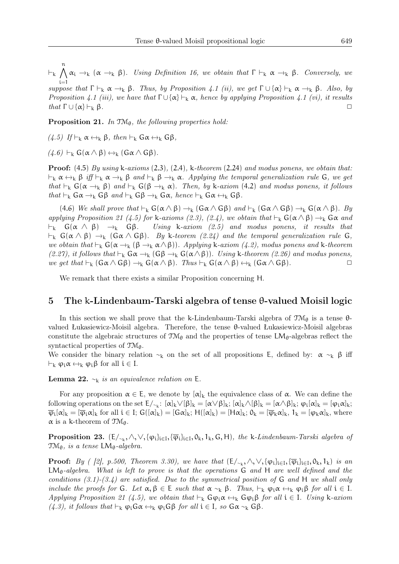*⊢*k ∧n  $\bigwedge_{i=1}^n \alpha_i \rightarrow_k (\alpha \rightarrow_k \beta)$ *. Using Definition 16, we obtain that*  $\Gamma \vdash_k \alpha \rightarrow_k \beta$ *. Conversely, we* 

*suppose that*  $Γ ⊢_k α →_k β$ *. Thus, by Proposition 4.1 (ii), we get*  $Γ ∪ {α} ⊢_k α →_k β$ *. Also, by Proposition 4.1 (iii), we have that*  $\Gamma \cup {\{\alpha\}} \vdash_k \alpha$ *, hence by applying Proposition 4.1 (vi), it results*<br>that  $\Gamma \cup {\{\alpha\}} \vdash_k \beta$ *that*  $\Gamma \cup \{\alpha\} \vdash_k \beta$ .

Proposition 21. In TM<sub> $\theta$ </sub>, the following properties hold:

*(4.5) If*  $\vdash_k \alpha \leftrightarrow_k \beta$ *, then*  $\vdash_k G\alpha \leftrightarrow_k G\beta$ *,* 

 $(4.6)$   $\vdash_k G(\alpha \wedge \beta) \leftrightarrow_k (G\alpha \wedge G\beta)$ .

Proof: (4.5) *By using* k*-axioms* (2.3)*,* (2.4)*,* k*-theorem* (2.24) *and modus ponens, we obtain that: <sup>⊢</sup>*<sup>k</sup> <sup>α</sup> <sup>↔</sup><sup>k</sup> <sup>β</sup> *iff <sup>⊢</sup>*<sup>k</sup> <sup>α</sup> <sup>→</sup><sup>k</sup> <sup>β</sup> *and <sup>⊢</sup>*<sup>k</sup> <sup>β</sup> <sup>→</sup><sup>k</sup> <sup>α</sup>*. Applying the temporal generalization rule* <sup>G</sup>*, we get that*  $\vdash_k G(\alpha \rightarrow_k \beta)$  *and*  $\vdash_k G(\beta \rightarrow_k \alpha)$ *. Then, by* k-*axiom* (4.2) *and modus ponens, it follows*  $that \vdash_k G\alpha \rightarrow_k G\beta \text{ and } \vdash_k G\beta \rightarrow_k G\alpha, \text{ hence } \vdash_k G\alpha \leftrightarrow_k G\beta.$ 

(4.6) *We shall prove that*  $\vdash_k G(\alpha \wedge \beta) \rightarrow_k (G \alpha \wedge G \beta)$  *and*  $\vdash_k (G \alpha \wedge G \beta) \rightarrow_k G(\alpha \wedge \beta)$ *. By applying Proposition 21 (4.5) for* k*-axioms (2.3), (2.4), we obtain that*  $\vdash_k G(\alpha \land \beta) \rightarrow_k G\alpha$  *and*  $\vdash_k G(\alpha \land \beta) \rightarrow_k G\beta$ . Using k-axiom (2.5) and modus ponens, it results that *Ling* **k**-axiom (2.5) and modus ponens, it results that  $\vdash_k$  G(α ∧ β) →<sub>k</sub> (Gα ∧ Gβ). By k-teorem (2.24) and the temporal generalization rule G, *we obtain that*  $\vdash_k G(\alpha \rightarrow_k (\beta \rightarrow_k \alpha \land \beta))$ . Applying k-axiom (4.2), modus ponens and k-theorem *(2.27), it follows that*  $\vdash_k$  Gα →<sub>k</sub> (Gβ →<sub>k</sub> G(α∧β))*. Using* k-theorem *(2.26)* and modus ponens,<br>*we get that*  $\vdash_L$  (Gα ∧ Gβ) → G(α ∧ β) Thus  $\vdash_L$  G(α ∧ β) ↔ (Gα ∧ Gβ) *we get that*  $\vdash_k (G \alpha \land G \beta) \rightarrow_k G(\alpha \land \beta)$ *. Thus*  $\vdash_k G(\alpha \land \beta) \leftrightarrow_k (G \alpha \land G \beta)$ *.* 

We remark that there exists a similar Proposition concerning H.

#### 5 The k-Lindenbaum-Tarski algebra of tense θ-valued Moisil logic

In this section we shall prove that the k-Lindenbaum-Tarski algebra of  $\mathfrak{IM}_{\theta}$  is a tense  $\theta$ valued Łukasiewicz-Moisil algebra. Therefore, the tense θ-valued Łukasiewicz-Moisil algebras constitute the algebraic structures of  $T\mathcal{M}_{\theta}$  and the properties of tense LM $_{\theta}$ -algebras reflect the syntactical properties of  $\mathfrak{TM}_{\theta}$ .

We consider the binary relation  $\sim_k$  on the set of all propositions E, defined by:  $\alpha \sim_k \beta$  iff *⊢*<sub>k</sub>  $\varphi_i \alpha \leftrightarrow_k \varphi_i \beta$  for all  $i \in I$ .

**Lemma 22.**  $∼<sub>k</sub>$  *is an equivalence relation on* **E**.

For any proposition  $\alpha \in E$ , we denote by  $[\alpha]_k$  the equivalence class of  $\alpha$ . We can define the following operations on the set  $E/_{\sim_k}: [\alpha]_k \vee [\beta]_k = [\alpha \vee \beta]_k; [\alpha]_k \wedge [\beta]_k = [\alpha \wedge \beta]_k; \varphi_i[\alpha]_k = [\varphi_i \alpha]_k;$  $\overline{\varphi}_i[\alpha]_k = [\overline{\varphi}_i \alpha]_k$  for all  $i \in I$ ;  $G([\alpha]_k) = [G \alpha]_k$ ;  $H([\alpha]_k) = [H \alpha]_k$ ;  $0_k = [\overline{\varphi}_k \alpha]_k$ ,  $1_k = [\varphi_k \alpha]_k$ , where  $\alpha$  is a k-theorem of  $\mathfrak{TM}_{\theta}$ .

Proposition 23. (E/<sub>∼k</sub>, ∧,∨,{φ<sub>i</sub>}<sub>i∈I</sub>,{ $\overline{\varphi}$ <sub>i</sub>}<sub>i∈I</sub>, 0<sub>k</sub>, 1<sub>k</sub>, G, H)*, the* k-*Lindenbaum-Tarski algebra of*  $TM_{\theta}$ *, is a tense*  $LM_{\theta}$ *-algebra.* 

**Proof:** *By* ( [2], p.500, Theorem 3.30), we have that  $(E/_{\sim_k}, \wedge, \vee, {\varphi_i}]_{i \in I}, {\overline{\varphi_i}}_{i \in I}, 0_k, 1_k)$  is an LMθ*-algebra. What is left to prove is that the operations* G *and* H *are well defined and the conditions (3.1)-(3.4) are satisfied. Due to the symmetrical position of* G *and* H *we shall only include the proofs for* G. Let  $\alpha, \beta \in E$  *such that*  $\alpha \sim_k \beta$ . Thus,  $\vdash_k \varphi_i \alpha \leftrightarrow_k \varphi_i \beta$  *for all*  $i \in I$ . *Applying Proposition 21 (4.5), we obtain that*  $\vdash_k G \varphi_i \alpha \leftrightarrow_k G \varphi_i \beta$  *for all*  $i \in I$ *. Using* k-axiom *(4.3), it follows that*  $\vdash_k \phi_i$  Gα  $\leftrightarrow_k \phi_i$  Gβ *for all*  $i \in I$ *, so* Gα  $\sim_k$  Gβ*.*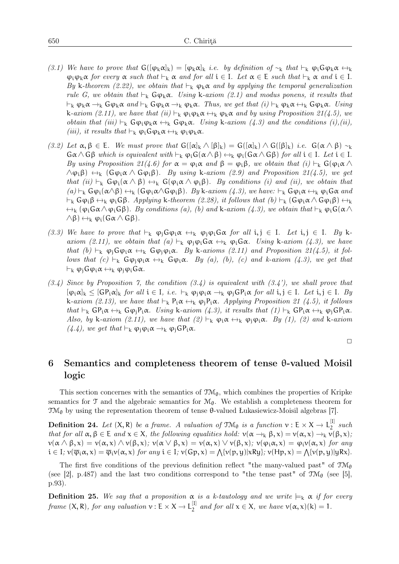- *(3.1) We have to prove that*  $G([\varphi_k \alpha]_k) = [\varphi_k \alpha]_k$  *i.e. by definition of* ∼<sub>k</sub> *that*  $\vdash_k \varphi_i G \varphi_k \alpha \leftrightarrow_k$  $\varphi_i \varphi_k \alpha$  *for every*  $\alpha$  *such that*  $\vdash_k \alpha$  *and for all*  $i \in I$ *. Let*  $\alpha \in E$  *such that*  $\vdash_k \alpha$  *and*  $i \in I$ *. By* k-theorem (2.22), we obtain that  $\vdash_k \varphi_k \alpha$  and by applying the temporal generalization *rule G, we obtain that*  $\vdash_k G\varphi_k \alpha$ . Using k-axiom (2.1) and modus ponens, it results that *<sup>⊢</sup>*<sup>k</sup> <sup>φ</sup>k<sup>α</sup> <sup>→</sup><sup>k</sup> Gφk<sup>α</sup> *and <sup>⊢</sup>*<sup>k</sup> Gφk<sup>α</sup> <sup>→</sup><sup>k</sup> <sup>φ</sup>kα*. Thus, we get that (i) <sup>⊢</sup>*<sup>k</sup> <sup>φ</sup>k<sup>α</sup> <sup>↔</sup><sup>k</sup> Gφkα*. Using*  $k$ -*axiom (2.11), we have that (ii)*  $\vdash_k \phi_i \phi_k \alpha \leftrightarrow_k \phi_k \alpha$  *and by using Proposition 21(4.5), we obtain that (iii)*  $\vdash_k G \varphi_i \varphi_k \alpha \leftrightarrow_k G \varphi_k \alpha$ . Using k-axiom (4.3) and the conditions (i),(ii), *(iii), it results that*  $\vdash_k \phi_i$  G $\phi_k \alpha \leftrightarrow_k \phi_i \phi_k \alpha$ .
- *(3.2) Let*  $\alpha, \beta \in E$ *. We must prove that*  $G([\alpha]_k \wedge [\beta]_k) = G([\alpha]_k) \wedge G([\beta]_k)$  *i.e.*  $G(\alpha \wedge \beta) \sim_k$  $G\alpha \wedge G\beta$  *which is equivalent with*  $\vdash_k \varphi_i G(\alpha \wedge \beta) \leftrightarrow_k \varphi_i (G\alpha \wedge G\beta)$  *for all*  $i \in I$ *. Let*  $i \in I$ *. By using Proposition 21(4.6) for*  $\alpha = \varphi_i \alpha$  *and*  $\beta = \varphi_i \beta$ *, we obtain that*  $(i) \vdash_k G(\varphi_i \alpha \wedge$  $\wedge \varphi_i \beta$ )  $\leftrightarrow_k$  ( $\varphi_i \alpha \wedge \varphi_i \beta$ )*. By using* k-axiom (2.9) and Proposition 21(4.5), we get *that (ii)*  $\vdash_k G\phi_i(\alpha \wedge \beta) \leftrightarrow_k G(\phi_i \alpha \wedge \phi_i \beta)$ *. By conditions (i) and (ii), we obtain that*  $(a) \vdash_k G\varphi_i(\alpha \wedge \beta) \leftrightarrow_k (G\varphi_i \alpha \wedge G\varphi_i \beta)$ *. By* k-axiom (4.3), we have:  $\vdash_k G\varphi_i \alpha \leftrightarrow_k \varphi_i G\alpha$  and  $\vdash_k$  Gφ<sub>i</sub>β ↔<sub>k</sub> φ<sub>i</sub>Gβ*. Applying* k-theorem (2.28), it follows that (b)  $\vdash_k$  (Gφ<sub>i</sub>α ∧ Gφ<sub>i</sub>β) ↔<sub>k</sub>  $\leftrightarrow_k (\varphi_i \mathsf{G} \alpha \wedge \varphi_i \mathsf{G} \beta)$ *. By conditions (a), (b) and* k-axiom (4.3), we obtain that  $\vdash_k \varphi_i \mathsf{G}(\alpha \wedge \beta)$  $∧β)$  ↔<sub>k</sub>  $φ$ <sub>i</sub>( $Gα ∧ Gβ$ ).
- *(3.3) We have to prove that*  $\vdash_k \phi_j G \phi_i \alpha \leftrightarrow_k \phi_j \phi_i G \alpha$  *for all*  $i, j \in I$ *. Let*  $i, j \in I$ *. By* k*axiom (2.11), we obtain that (a)*  $\vdash_k \varphi_i \varphi_i \mathsf{G} \alpha \leftrightarrow_k \varphi_i \mathsf{G} \alpha$ *. Using* k-axiom (4.3), we have *that*  $(b) \vdash_k \varphi_j G \varphi_i \alpha \leftrightarrow_k G \varphi_j \varphi_i \alpha$ . By k-axioms (2.11) and Proposition 21(4.5), it fol*lows that*  $(c) \vdash_k G\phi_i \phi_i \alpha \leftrightarrow_k G\phi_i \alpha$ . By  $(a)$ ,  $(b)$ ,  $(c)$  and k-axiom  $(4.3)$ , we get that *<sup>⊢</sup>*<sup>k</sup> <sup>φ</sup>jGφi<sup>α</sup> <sup>↔</sup><sup>k</sup> <sup>φ</sup>jφiGα*.*
- *(3.4) Since by Proposition 7, the condition (3.4) is equivalent with (3.4'), we shall prove that*  $[\varphi_i \alpha]_k \leq [\mathsf{GP}_i \alpha]_k$  *for all*  $i \in I$ *, i.e.*  $\vdash_k \varphi_i \varphi_i \alpha \rightarrow_k \varphi_i \mathsf{GP}_i \alpha$  *for all*  $i, j \in I$ *. Let*  $i, j \in I$ *. By*  $k$ -*axiom (2.13), we have that*  $\vdash_k P_iα \leftrightarrow_k φ_iP_iα$ *. Applying Proposition 21 (4.5), it follows that*  $\vdash_k$   $\mathsf{GP}_i \alpha \leftrightarrow_k \mathsf{G} \varphi_j \mathsf{P}_i \alpha$ *. Using* k-axiom  $(4.3)$ *, it results that*  $(1) \vdash_k \mathsf{GP}_i \alpha \leftrightarrow_k \varphi_j \mathsf{GP}_i \alpha$ *. Also, by* k-axiom (2.11), we have that  $(2) \vdash_k \varphi_i \alpha \leftrightarrow_k \varphi_i \varphi_i \alpha$ . By (1), (2) and k-axiom  $(4.4)$ *, we get that*  $\vdash_k \phi_i \phi_i \alpha \rightarrow_k \phi_i$  GP<sub>i</sub>α.

 $\Box$ 

# 6 Semantics and completeness theorem of tense θ-valued Moisil logic

This section concernes with the semantics of  $\mathfrak{M}_{\theta}$ , which combines the properties of Kripke semantics for T and the algebraic semantics for  $\mathcal{M}_{\theta}$ . We establish a completeness theorem for  $\mathfrak{M}_{\theta}$  by using the representation theorem of tense θ-valued Łukasiewicz-Moisil algebras [7].

**Definition 24.** Let  $(X, R)$  be a frame. A valuation of  $\mathfrak{M}_{\theta}$  is a function  $v : E \times X \to L^{[1]}$  $\frac{1}{2}$  such *that for all*  $\alpha, \beta \in E$  *and*  $x \in X$ *, the following equalities hold:*  $\nu(\alpha \rightarrow_k \beta, x) = \nu(\alpha, x) \rightarrow_k \nu(\beta, x)$ *;*  $v(\alpha \wedge \beta, x) = v(\alpha, x) \wedge v(\beta, x); v(\alpha \vee \beta, x) = v(\alpha, x) \vee v(\beta, x); v(\varphi_i \alpha, x) = \varphi_i v(\alpha, x)$  *for any*  $i \in I$ *;*  $v(\overline{\varphi}_i \alpha, x) = \overline{\varphi}_i v(\alpha, x)$  *for any*  $i \in I$ *;*  $v(Gp, x) = \bigwedge \{v(p, y) | xRy\}$ *;*  $v(Hp, x) = \bigwedge \{v(p, y) | yRx\}$ *.* 

The first five conditions of the previous definition reflect "the many-valued past" of  $\mathfrak{M}_{\theta}$ (see [2], p.487) and the last two conditions correspond to "the tense past" of  $\mathfrak{TM}_{\theta}$  (see [5], p.93).

**Definition 25.** We say that a proposition  $\alpha$  is a k-tautology and we write  $\models_k \alpha$  if for every *frame*  $(X, R)$ *, for any valuation*  $v : E \times X \rightarrow L_2^{[1]}$  $\sum_{2}^{\lfloor 1 \rfloor}$  and for all  $x \in X$ *, we have*  $v(\alpha, x)(k) = 1$ *.*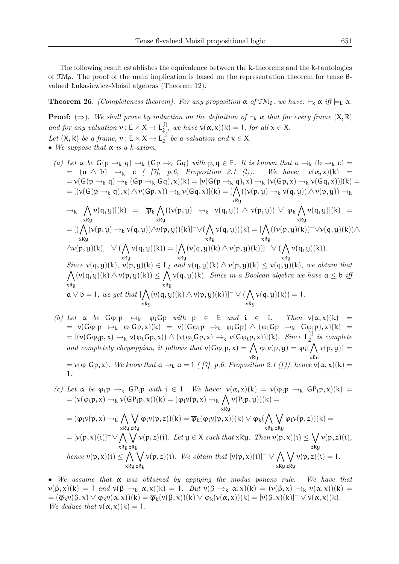The following result establishes the equivalence between the k-theorems and the k-tautologies of  $\mathfrak{TM}_{\theta}$ . The proof of the main implication is based on the representation theorem for tense  $\theta$ valued Łukasiewicz-Moisil algebras (Theorem 12).

**Theorem 26.** *(Completeness theorem). For any proposition*  $\alpha$  *of*  $\mathfrak{TM}_{\theta}$ *, we have:*  $\vdash_k \alpha$ *if*  $\models_k \alpha$ *.* 

**Proof:** ( $\Rightarrow$ ). We shall prove by induction on the definition of  $\vdash_k \alpha$  that for every frame  $(X, R)$ *and for any valuation*  $v : E \times X \to L_2^{[I]}$  $\sum_{\alpha=1}^{\lfloor n \rfloor}$ , we have  $v(\alpha, x)(k) = 1$ , for all  $x \in X$ . *Let*  $(X, R)$  *be a frame,*  $v : E \times X \rightarrow L_2^{[I]}$  $b^{\text{[1]}}$  be a valuation and  $x \in X$ .

- *• We suppose that* α *is a k-axiom.*
	- *(a) Let*  $\alpha$  *be*  $G(p \rightarrow_k q) \rightarrow_k (Gp \rightarrow_k Gq)$  *with*  $p, q \in E$ *. It is known that*  $\alpha \rightarrow_k (b \rightarrow_k c)$  $=$   $(a \wedge b) \rightarrow_{k} c$  *( [7], p.6, Proposition 2.1 (l)). We have:*  $v(\alpha, x)(k) =$ <br> $= v(G(p \rightarrow_{k} q) \rightarrow_{k} (Gp \rightarrow_{k} Gq), x)(k) = [v(G(p \rightarrow_{k} q), x) \rightarrow_{k} (v(Gp, x) \rightarrow_{k} v(Gq, x))](k) =$  $= v(G(p \rightarrow_k q) \rightarrow_k (Gp \rightarrow_k Gq), x)(k) = [v(G(p \rightarrow_k q), x) \rightarrow_k (v(Gp, x) \rightarrow_k v(Gq, x))](k) =$  $=[(\nu(\mathsf{G}(p\rightarrow_{k} q),\mathsf{x})\wedge\nu(\mathsf{G} p,\mathsf{x}))\rightarrow_{k}\nu(\mathsf{G} q,\mathsf{x})](\mathsf{k})= [\bigwedge_{\mathsf{xR}\mathsf{y}}((\nu(p,\mathsf{y})\rightarrow_{k}\nu(q,\mathsf{y}))\wedge\nu(p,\mathsf{y}))\rightarrow_{k}\nu(\mathsf{G} p,\mathsf{x})]$  $\rightarrow_{k}$   $\bigwedge$ xRy  $\nu(\mathfrak{q},\mathfrak{y})]$ (k) = [ $\overline{\varphi}_k \bigwedge$  $\bigwedge_{\mathsf{xRy}}((\mathsf{v}(\mathsf{p},\mathsf{y})\;\;\rightarrow_{\mathsf{k}}\;\;\mathsf{v}(\mathsf{q},\mathsf{y}))\;\land\;\mathsf{v}(\mathsf{p},\mathsf{y}))\;\lor\;\mathsf{\phi}_{\mathsf{k}}\bigwedge_{\mathsf{xRy}}$ xRy  $\nu(q,y)](k) =$ = [(∧  $\bigwedge_{\mathsf{xRy}}(\mathsf{v}(\mathsf{p},\mathsf{y})\rightarrow_{\mathsf{k}}\mathsf{v}(\mathsf{q},\mathsf{y}))\wedge \mathsf{v}(\mathsf{p},\mathsf{y}))(\mathsf{k})]^{-}\vee(\bigwedge_{\mathsf{xRy}}$ xRy  $v(q, y))(k) = [\bigwedge$ xRy  $((v(p, y)(k))^- \forall v(q, y)(k)) \wedge$  $\wedge \nu(\mathfrak{p},\mathfrak{y})(\mathsf{k})]^{-}\vee (\bigwedge$ xRy  $\nu(q, y)(k)) = [\bigwedge$ xRy  $(\nu(q, y)(k) \wedge \nu(p, y)(k))]^{-} \vee (\bigwedge$ xRy  $v(q, y)(k)$ . *Since* ∧  $v(q, y)(k)$ ,  $v(p, y)(k) \in L_2$  *and*  $v(q, y)(k) \wedge v(p, y)(k) \le v(q, y)(k)$ *, we obtain that* xRy  $( v(q,y)(k) \wedge v(p,y)(k) ) ≤ \bigwedge$ xRy  $\nu(\mathsf{q}, \mathsf{y})(\mathsf{k})$ *. Since in a Boolean algebra we have*  $\mathsf{a} \leq \mathsf{b}$  *iff*  $\bar{\mathfrak{a}} \vee \mathfrak{b} = 1$ , we get that  $\lceil \bigwedge$ xRy  $(\nu(q, y)(k) \wedge \nu(p, y)(k))]^{-} \vee (\bigwedge$ xRy  $v(q, y)(k)) = 1.$
	- *(b) Let*  $\alpha$  *be*  $G\varphi_i \varphi \leftrightarrow_k \varphi_i G\varphi$  *with*  $\varphi \in E$  *and*  $i \in I$ *. Then*  $v(\alpha, x)(k)$  = =  $v(G\varphi_i p \leftrightarrow_k \varphi_i Gp, x)(k) = v((G\varphi_i p \rightarrow_k \varphi_i Gp) \wedge (\varphi_i Gp \rightarrow_k G\varphi_i p), x)(k) =$  $= [(\nu(G\varphi_i p, x) \rightarrow_k \nu(\varphi_i Gp, x)) \wedge (\nu(\varphi_i Gp, x) \rightarrow_k \nu(G\varphi_i p, x))]$ (k). Since  $L_2^{[1]}$  $\frac{1}{2}$  *is complete and completely chrysippian, it follows that*  $v(G\varphi_i p, x) = \bigwedge \varphi_i v(p, y) = \varphi_i(\bigwedge v(p, y)) =$ xRy xRy  $= v(\varphi_i Gp, x)$ *. We know that*  $a \rightarrow_k a = 1$  *(*[7], p.6, Proposition 2.1 (f)), hence  $v(\alpha, x)(k) = 1$ 1*.*
	- *(c) Let*  $\alpha$  *be*  $\varphi_i \mathbf{p} \to_k \mathbf{G} P_i \mathbf{p}$  *with*  $i \in I$ *. We have:*  $v(\alpha, x)(k) = v(\varphi_i \mathbf{p} \to_k \mathbf{G} P_i \mathbf{p}, x)(k) =$  $= (\nu(\varphi_i p, x) \rightarrow_k \nu(GP_i p, x))(k) = (\varphi_i \nu(p, x) \rightarrow_k \bigwedge \nu(P_i p, y))(k) =$ xRy  $= (\varphi_i v(p, x) \rightarrow_k \bigwedge$ xRy ∨ zRy  $\varphi_i\nu(p,z))(k) = \overline{\varphi}_k(\varphi_i\nu(p,x))(k) \vee \varphi_k(\bigwedge$ xRy ∨ zRy  $\varphi_i v(p, z))(k) =$  $= [\nu(p,x)(i)]^- \vee \bigwedge$ xRy ∨ zRy  $v(p, z)(i)$ *. Let*  $y \in X$  *such that*  $xRy$ *. Then*  $v(p, x)(i) \leq \bigvee$ zRy v(p, z)(i)*, hence*  $\nu(\mathfrak{p}, \mathfrak{x})(\mathfrak{i}) \leq \bigwedge$ xRy ∨ zRy  $\nu(\mathfrak{p}, z)(\mathfrak{i})$ *. We obtain that*  $[\nu(\mathfrak{p}, x)(\mathfrak{i})]^{-} \vee \bigwedge$ xRy ∨ zRy  $\nu(p, z)(i) = 1.$

*• We assume that* α *was obtained by applying the modus ponens rule. We have that*  $v(\beta, x)(k) = 1$  *and*  $v(\beta \rightarrow_k \alpha, x)(k) = 1$ *. But*  $v(\beta \rightarrow_k \alpha, x)(k) = (v(\beta, x) \rightarrow_k v(\alpha, x))(k) =$  $= (\overline{\varphi}_k v(\beta, x) \vee \varphi_k v(\alpha, x))(k) = \overline{\varphi}_k(v(\beta, x))(k) \vee \varphi_k(v(\alpha, x))(k) = [v(\beta, x)(k)]^{-} \vee v(\alpha, x)(k).$ *We deduce that*  $v(\alpha, x)(k) = 1$ *.*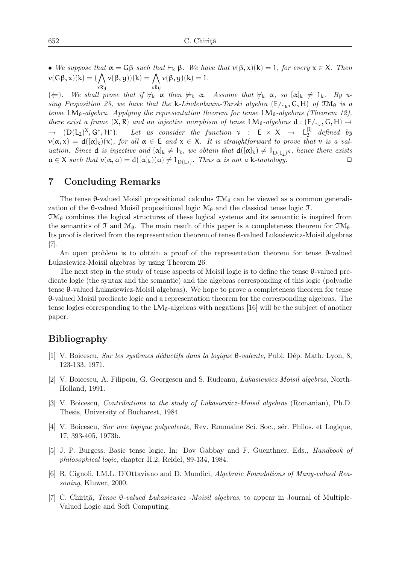• *We suppose that*  $α = Gβ$  *such that*  $⊢<sub>k</sub> β$ *. We have that*  $ν(β, x)(k) = 1$ *, for every*  $x ∈ X$ *. Then*  $\nu(\mathsf{G}\beta, \mathsf{x})(\mathsf{k}) = (\bigwedge$  $\nu(\beta, y))(k) = \bigwedge$  $\nu(\beta, y)(k) = 1.$ 

xRy xRy  $(\Leftarrow)$ *. We shall prove that if*  $\forall_k \alpha$  *then*  $\nmodels_k \alpha$ *. Assume that*  $\forall_k \alpha$ *, so*  $[\alpha]_k \neq 1_k$ *. By using Proposition 23, we have that the* k-*Lindenbaum-Tarski algebra*  $(E/\sim_k, G, H)$  *of*  $TM_{\theta}$  *is a tense* LM<sub>θ</sub>-algebra. Applying the representation theorem for tense LM<sub>θ</sub>-algebras (Theorem 12), *there exist a frame*  $(X, R)$  *and an injective morphism of tense* LM<sub>θ</sub>-algebras  $d : (E/\sim_k, G, H) \rightarrow (E/\sim_k, G, H)$  $\rightarrow$  (D(L<sub>2</sub>)<sup>X</sup>, G<sup>∗</sup>, H<sup>∗</sup>). Let us consider the function v : E × X → L<sup>[I]</sup>  $\int_2^{\lfloor 1 \rfloor}$  defined by  $\nu(\alpha, x) = d([\alpha]_k)(x)$ , for all  $\alpha \in E$  and  $x \in X$ . It is straightforward to prove that  $\nu$  is a val*uation. Since* **d** *is injective and*  $[\alpha]_k \neq 1_k$ *, we obtain that*  $d([\alpha]_k) \neq 1_{D(L_2)}$ *x, hence there exists*  $\alpha \in X$  *such that*  $\nu(\alpha, \alpha) = d([\alpha]_k)(\alpha) \neq 1_{D(L_2)}$ *. Thus*  $\alpha$  *is not a* k-tautology.  $a \in X$  *such that*  $v(\alpha, a) = d([\alpha]_k)(a) \neq 1_{D(L_2)}$ *. Thus*  $\alpha$  *is not a* k-tautology.

#### 7 Concluding Remarks

The tense  $\theta$ -valued Moisil propositional calculus  $\mathcal{TM}_{\theta}$  can be viewed as a common generalization of the  $\theta$ -valued Moisil propositional logic  $\mathcal{M}_{\theta}$  and the classical tense logic  $\mathcal{T}$ .

 $\mathfrak{M}_{\theta}$  combines the logical structures of these logical systems and its semantic is inspired from the semantics of T and  $\mathcal{M}_{\theta}$ . The main result of this paper is a completeness theorem for  $\mathcal{TM}_{\theta}$ . Its proof is derived from the representation theorem of tense θ-valued Łukasiewicz-Moisil algebras [7].

An open problem is to obtain a proof of the representation theorem for tense θ-valued Łukasiewicz-Moisil algebras by using Theorem 26.

The next step in the study of tense aspects of Moisil logic is to define the tense θ-valued predicate logic (the syntax and the semantic) and the algebras corresponding of this logic (polyadic tense θ-valued Łukasiewicz-Moisil algebras). We hope to prove a completeness theorem for tense θ-valued Moisil predicate logic and a representation theorem for the corresponding algebras. The tense logics corresponding to the  $LM_{\theta}$ -algebras with negations [16] will be the subject of another paper.

### Bibliography

- [1] V. Boicescu, *Sur les syst*`e*mes déductifs dans la logique* θ*-valente*, Publ. D´ep. Math. Lyon, 8, 123-133, 1971.
- [2] V. Boicescu, A. Filipoiu, G. Georgescu and S. Rudeanu, *Łukasiewicz-Moisil algebras*, North-Holland, 1991.
- [3] V. Boicescu, *Contributions to the study of Łukasiewicz-Moisil algebras* (Romanian), Ph.D. Thesis, University of Bucharest, 1984.
- [4] V. Boicescu, *Sur une logique polyvalente*, Rev. Roumaine Sci. Soc., s´er. Philos. et Logique, 17, 393-405, 1973b.
- [5] J. P. Burgess. Basic tense logic. In: Dov Gabbay and F. Guenthner, Eds., *Handbook of philosophical logic*, chapter II.2, Reidel, 89-134, 1984.
- [6] R. Cignoli, I.M.L. D'Ottaviano and D. Mundici, *Algebraic Foundations of Many-valued Reasoning*, Kluwer, 2000.
- [7] C. Chiriţă, *Tense* θ*-valued Łukasiewicz -Moisil algebras*, to appear in Journal of Multiple-Valued Logic and Soft Computing.